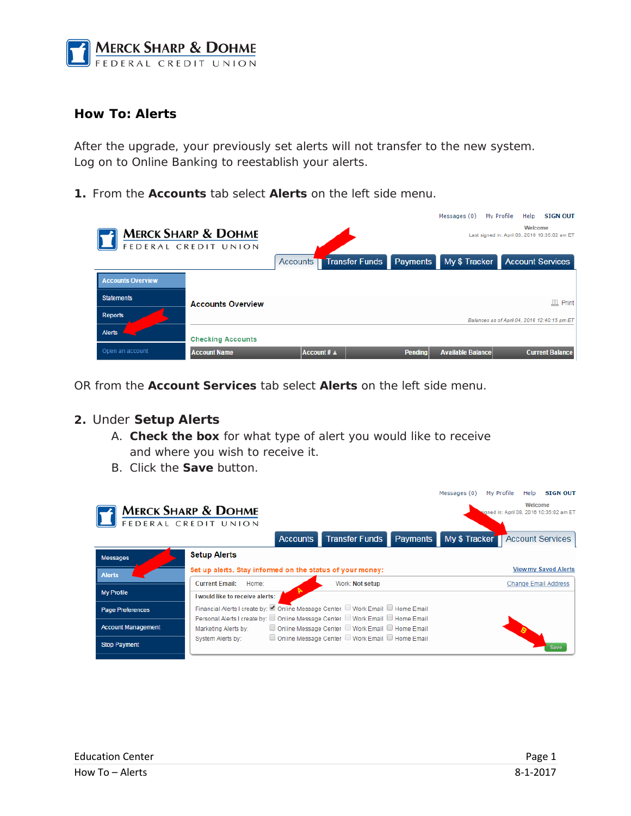

# **How To: Alerts**

After the upgrade, your previously set alerts will not transfer to the new system. Log on to Online Banking to reestablish your alerts.

**1.** From the **Accounts** tab select **Alerts** on the left side menu.

|                          |                                                        |                                |                | Messages (0)                            | My Profile | Help    | <b>SIGN OUT</b>                               |
|--------------------------|--------------------------------------------------------|--------------------------------|----------------|-----------------------------------------|------------|---------|-----------------------------------------------|
|                          | <b>MERCK SHARP &amp; DOHME</b><br>FEDERAL CREDIT UNION |                                |                |                                         |            | Welcome | Last signed in: April 08, 2016 10:35:02 am ET |
|                          |                                                        | <b>Accounts Transfer Funds</b> |                | Payments My \$ Tracker Account Services |            |         |                                               |
| <b>Accounts Overview</b> |                                                        |                                |                |                                         |            |         |                                               |
| <b>Statements</b>        | <b>Accounts Overview</b>                               |                                |                |                                         |            |         | $\Box$ Print                                  |
| Reports                  |                                                        |                                |                |                                         |            |         | Balances as of April 04, 2016 12:40:15 pm ET  |
| <b>Alerts</b>            | <b>Checking Accounts</b>                               |                                |                |                                         |            |         |                                               |
| Open an account          | <b>Account Name</b>                                    | Account # $\triangle$          | <b>Pending</b> | <b>Available Balance</b>                |            |         | <b>Current Balance</b>                        |

OR from the **Account Services** tab select **Alerts** on the left side menu.

### **2.** Under **Setup Alerts**

- A. **Check the box** for what type of alert you would like to receive and where you wish to receive it.
- B. Click the **Save** button.

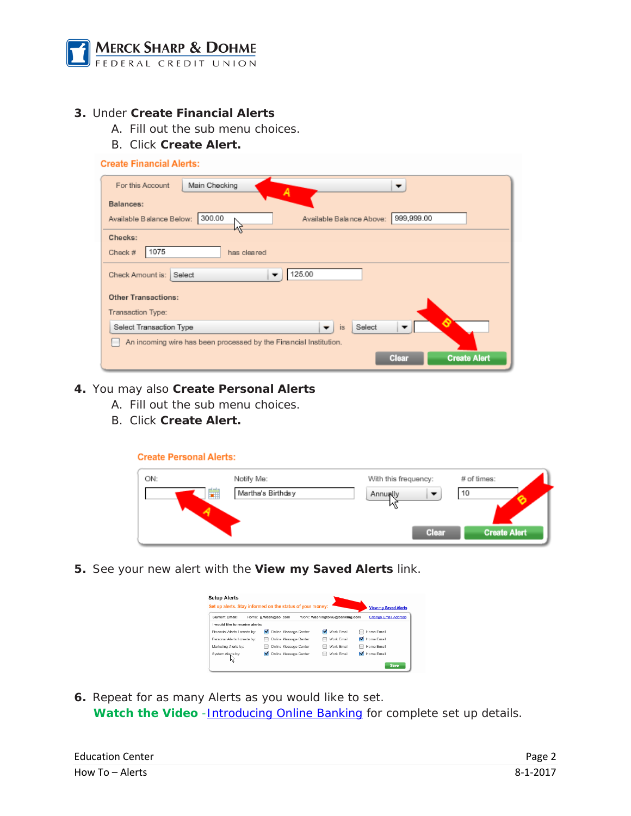

## **3.** Under **Create Financial Alerts**

- A. Fill out the sub menu choices.
- B. Click **Create Alert.**

#### **Create Financial Alerts:**

| Main Checking<br>For this Account<br>▼<br>Α                                  |
|------------------------------------------------------------------------------|
| Balances:                                                                    |
| 999,999.00<br>300.00<br>Available Balance Below:<br>Available Balance Above: |
| Checks:                                                                      |
| 1075<br>has cleared<br>Check $#$                                             |
| 125.00<br>Select<br>Check Amount is:<br>▼                                    |
| <b>Other Transactions:</b>                                                   |
| Transaction Type:                                                            |
| Select<br>is<br>Select Transaction Type<br>▼                                 |
| An incoming wire has been processed by the Financial Institution.            |
| <b>Create Alert</b><br>Clear                                                 |

### **4.** You may also **Create Personal Alerts**

- A. Fill out the sub menu choices.
- B. Click **Create Alert.**

**Create Personal Alerts:** 

| ON: | Notify Me:        | With this frequency: | # of times:         |
|-----|-------------------|----------------------|---------------------|
| 雦   | Martha's Birthday | Annually             | 10                  |
|     |                   | Clear                | <b>Create Alert</b> |

**5.** See your new alert with the **View my Saved Alerts** link.

| <b>Current Email:</b>           |                 | Home: a.Wash@aol.com    |   | Work: WashingtonG@banking.com | Change Email Address |
|---------------------------------|-----------------|-------------------------|---|-------------------------------|----------------------|
| I would like to receive alerts: |                 |                         |   |                               |                      |
| Financial Alerts I create by:   |                 | M Online Message Center |   | Work Email                    | Home Email           |
| Personal Alerts I create by:    | <b>Contract</b> | Online Message Center   |   | Work Email                    | Home Email           |
| Marketing Alerts by:            |                 | Online Message Center   |   | Work Email                    | Home Email           |
| System Alerts by:               | ⊽               | Online Message Center   | m | Work Email                    | Home Email           |

**6.** Repeat for as many Alerts as you would like to set. **Watch the Video** -**Introducing Online Banking** for complete set up details.